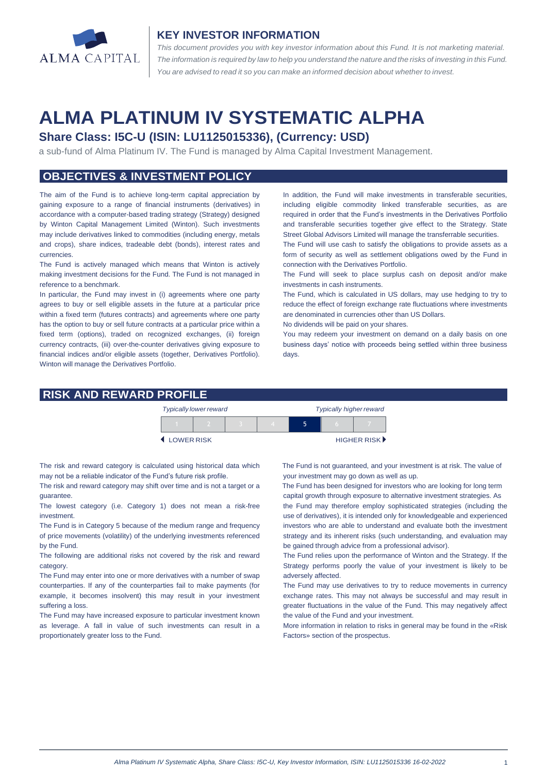

#### **KEY INVESTOR INFORMATION**

*This document provides you with key investor information about this Fund. It is not marketing material.*  The information is required by law to help you understand the nature and the risks of investing in this Fund. *You are advised to read it so you can make an informed decision about whether to invest.*

# **ALMA PLATINUM IV SYSTEMATIC ALPHA**

## **Share Class: I5C-U (ISIN: LU1125015336), (Currency: USD)**

a sub-fund of Alma Platinum IV. The Fund is managed by Alma Capital Investment Management.

## **OBJECTIVES & INVESTMENT POLICY**

The aim of the Fund is to achieve long-term capital appreciation by gaining exposure to a range of financial instruments (derivatives) in accordance with a computer-based trading strategy (Strategy) designed by Winton Capital Management Limited (Winton). Such investments may include derivatives linked to commodities (including energy, metals and crops), share indices, tradeable debt (bonds), interest rates and currencies.

The Fund is actively managed which means that Winton is actively making investment decisions for the Fund. The Fund is not managed in reference to a benchmark.

In particular, the Fund may invest in (i) agreements where one party agrees to buy or sell eligible assets in the future at a particular price within a fixed term (futures contracts) and agreements where one party has the option to buy or sell future contracts at a particular price within a fixed term (options), traded on recognized exchanges, (ii) foreign currency contracts, (iii) over-the-counter derivatives giving exposure to financial indices and/or eligible assets (together, Derivatives Portfolio). Winton will manage the Derivatives Portfolio.

In addition, the Fund will make investments in transferable securities, including eligible commodity linked transferable securities, as are required in order that the Fund's investments in the Derivatives Portfolio and transferable securities together give effect to the Strategy. State Street Global Advisors Limited will manage the transferrable securities.

The Fund will use cash to satisfy the obligations to provide assets as a form of security as well as settlement obligations owed by the Fund in connection with the Derivatives Portfolio.

The Fund will seek to place surplus cash on deposit and/or make investments in cash instruments.

The Fund, which is calculated in US dollars, may use hedging to try to reduce the effect of foreign exchange rate fluctuations where investments are denominated in currencies other than US Dollars.

No dividends will be paid on your shares.

You may redeem your investment on demand on a daily basis on one business days' notice with proceeds being settled within three business days

#### **RISK AND REWARD PROFILE**

|                     | <b>Typically lower reward</b> |  | <b>Typically higher reward</b> |  |  |                             |
|---------------------|-------------------------------|--|--------------------------------|--|--|-----------------------------|
|                     |                               |  |                                |  |  |                             |
| <b>4 LOWER RISK</b> |                               |  |                                |  |  | HIGHER RISK <sup>&gt;</sup> |

The risk and reward category is calculated using historical data which may not be a reliable indicator of the Fund's future risk profile.

The risk and reward category may shift over time and is not a target or a guarantee.

The lowest category (i.e. Category 1) does not mean a risk-free investment.

The Fund is in Category 5 because of the medium range and frequency of price movements (volatility) of the underlying investments referenced by the Fund.

The following are additional risks not covered by the risk and reward category.

The Fund may enter into one or more derivatives with a number of swap counterparties. If any of the counterparties fail to make payments (for example, it becomes insolvent) this may result in your investment suffering a loss.

The Fund may have increased exposure to particular investment known as leverage. A fall in value of such investments can result in a proportionately greater loss to the Fund.

 The Fund is not guaranteed, and your investment is at risk. The value of your investment may go down as well as up.

 The Fund has been designed for investors who are looking for long term capital growth through exposure to alternative investment strategies. As

the Fund may therefore employ sophisticated strategies (including the use of derivatives), it is intended only for knowledgeable and experienced investors who are able to understand and evaluate both the investment strategy and its inherent risks (such understanding, and evaluation may be gained through advice from a professional advisor).

The Fund relies upon the performance of Winton and the Strategy. If the Strategy performs poorly the value of your investment is likely to be adversely affected.

The Fund may use derivatives to try to reduce movements in currency exchange rates. This may not always be successful and may result in greater fluctuations in the value of the Fund. This may negatively affect the value of the Fund and your investment.

More information in relation to risks in general may be found in the «Risk Factors» section of the prospectus.